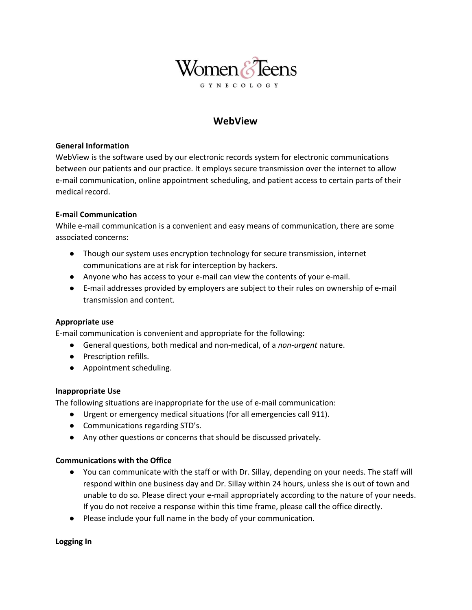

# **WebView**

### **General Information**

WebView is the software used by our electronic records system for electronic communications between our patients and our practice. It employs secure transmission over the internet to allow e-mail communication, online appointment scheduling, and patient access to certain parts of their medical record.

# **E-mail Communication**

While e-mail communication is a convenient and easy means of communication, there are some associated concerns:

- Though our system uses encryption technology for secure transmission, internet communications are at risk for interception by hackers.
- Anyone who has access to your e-mail can view the contents of your e-mail.
- E-mail addresses provided by employers are subject to their rules on ownership of e-mail transmission and content.

# **Appropriate use**

E-mail communication is convenient and appropriate for the following:

- General questions, both medical and non-medical, of a *non-urgent* nature.
- Prescription refills.
- Appointment scheduling.

#### **Inappropriate Use**

The following situations are inappropriate for the use of e-mail communication:

- Urgent or emergency medical situations (for all emergencies call 911).
- Communications regarding STD's.
- Any other questions or concerns that should be discussed privately.

#### **Communications with the Office**

- You can communicate with the staff or with Dr. Sillay, depending on your needs. The staff will respond within one business day and Dr. Sillay within 24 hours, unless she is out of town and unable to do so. Please direct your e-mail appropriately according to the nature of your needs. If you do not receive a response within this time frame, please call the office directly.
- Please include your full name in the body of your communication.

**Logging In**